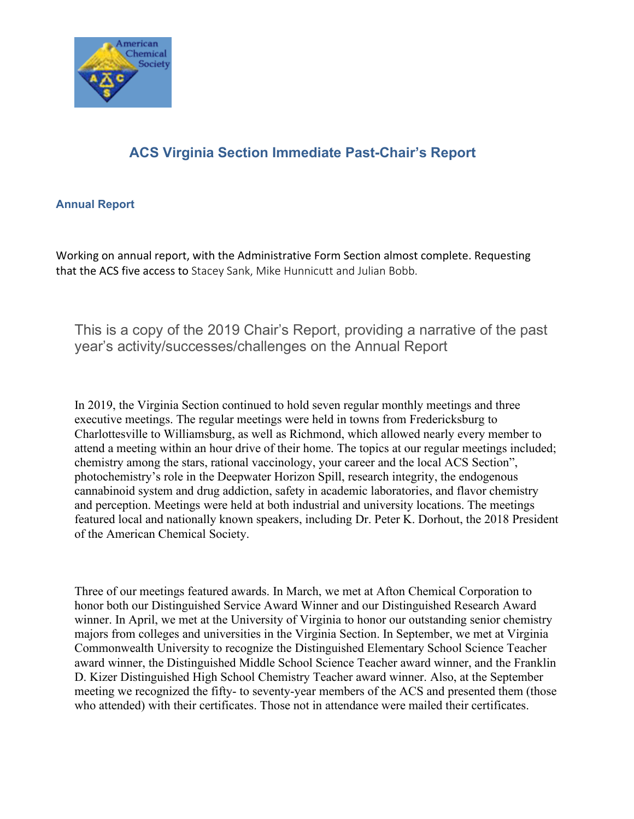

## **ACS Virginia Section Immediate Past-Chair's Report**

## **Annual Report**

Working on annual report, with the Administrative Form Section almost complete. Requesting that the ACS five access to Stacey Sank, Mike Hunnicutt and Julian Bobb.

This is a copy of the 2019 Chair's Report, providing a narrative of the past year's activity/successes/challenges on the Annual Report

In 2019, the Virginia Section continued to hold seven regular monthly meetings and three executive meetings. The regular meetings were held in towns from Fredericksburg to Charlottesville to Williamsburg, as well as Richmond, which allowed nearly every member to attend a meeting within an hour drive of their home. The topics at our regular meetings included; chemistry among the stars, rational vaccinology, your career and the local ACS Section", photochemistry's role in the Deepwater Horizon Spill, research integrity, the endogenous cannabinoid system and drug addiction, safety in academic laboratories, and flavor chemistry and perception. Meetings were held at both industrial and university locations. The meetings featured local and nationally known speakers, including Dr. Peter K. Dorhout, the 2018 President of the American Chemical Society.

Three of our meetings featured awards. In March, we met at Afton Chemical Corporation to honor both our Distinguished Service Award Winner and our Distinguished Research Award winner. In April, we met at the University of Virginia to honor our outstanding senior chemistry majors from colleges and universities in the Virginia Section. In September, we met at Virginia Commonwealth University to recognize the Distinguished Elementary School Science Teacher award winner, the Distinguished Middle School Science Teacher award winner, and the Franklin D. Kizer Distinguished High School Chemistry Teacher award winner. Also, at the September meeting we recognized the fifty- to seventy-year members of the ACS and presented them (those who attended) with their certificates. Those not in attendance were mailed their certificates.